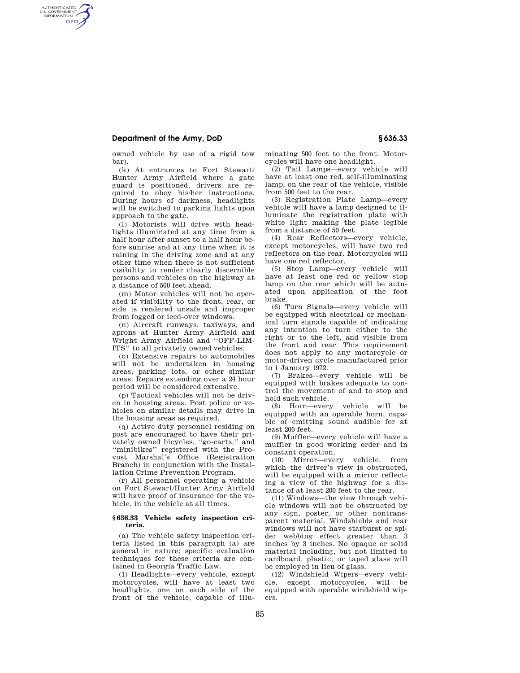# **Department of the Army, DoD § 636.33**

AUTHENTICATED<br>U.S. GOVERNMENT<br>INFORMATION **GPO** 

owned vehicle by use of a rigid tow bar).

(k) At entrances to Fort Stewart/ Hunter Army Airfield where a gate guard is positioned, drivers are required to obey his/her instructions. During hours of darkness, headlights will be switched to parking lights upon approach to the gate.

(l) Motorists will drive with headlights illuminated at any time from a half hour after sunset to a half hour before sunrise and at any time when it is raining in the driving zone and at any other time when there is not sufficient visibility to render clearly discernible persons and vehicles on the highway at a distance of 500 feet ahead.

(m) Motor vehicles will not be operated if visibility to the front, rear, or side is rendered unsafe and improper from fogged or iced-over windows.

(n) Aircraft runways, taxiways, and aprons at Hunter Army Airfield and Wright Army Airfield and ''OFF-LIM-ITS'' to all privately owned vehicles.

(o) Extensive repairs to automobiles will not be undertaken in housing areas, parking lots, or other similar areas. Repairs extending over a 24 hour period will be considered extensive.

(p) Tactical vehicles will not be driven in housing areas. Post police or vehicles on similar details may drive in the housing areas as required.

(q) Active duty personnel residing on post are encouraged to have their privately owned bicycles, ''go-carts,'' and ''minibikes'' registered with the Provost Marshal's Office (Registration Branch) in conjunction with the Installation Crime Prevention Program.

(r) All personnel operating a vehicle on Fort Stewart/Hunter Army Airfield will have proof of insurance for the vehicle, in the vehicle at all times.

## **§ 636.33 Vehicle safety inspection criteria.**

(a) The vehicle safety inspection criteria listed in this paragraph (a) are general in nature; specific evaluation techniques for these criteria are contained in Georgia Traffic Law.

(1) Headlights—every vehicle, except motorcycles, will have at least two headlights, one on each side of the front of the vehicle, capable of illuminating 500 feet to the front. Motorcycles will have one headlight.

(2) Tail Lamps—every vehicle will have at least one red, self-illuminating lamp, on the rear of the vehicle, visible from 500 feet to the rear.

(3) Registration Plate Lamp—every vehicle will have a lamp designed to illuminate the registration plate with white light making the plate legible from a distance of 50 feet.

(4) Rear Reflectors—every vehicle, except motorcycles, will have two red reflectors on the rear. Motorcycles will have one red reflector.

(5) Stop Lamp—every vehicle will have at least one red or yellow stop lamp on the rear which will be actuated upon application of the foot brake.

(6) Turn Signals—every vehicle will be equipped with electrical or mechanical turn signals capable of indicating any intention to turn either to the right or to the left, and visible from the front and rear. This requirement does not apply to any motorcycle or motor-driven cycle manufactured prior to 1 January 1972.

(7) Brakes—every vehicle will be equipped with brakes adequate to control the movement of and to stop and hold such vehicle.

(8) Horn—every vehicle will be equipped with an operable horn, capable of emitting sound audible for at least 200 feet.

(9) Muffler—every vehicle will have a muffler in good working order and in constant operation.

(10) Mirror—every vehicle, from which the driver's view is obstructed. will be equipped with a mirror reflecting a view of the highway for a distance of at least 200 feet to the rear.

(11) Windows—the view through vehicle windows will not be obstructed by any sign, poster, or other nontransparent material. Windshields and rear windows will not have starburst or spider webbing effect greater than 3 inches by 3 inches. No opaque or solid material including, but not limited to cardboard, plastic, or taped glass will be employed in lieu of glass.

(12) Windshield Wipers—every vehicle, except motorcycles, will be equipped with operable windshield wipers.